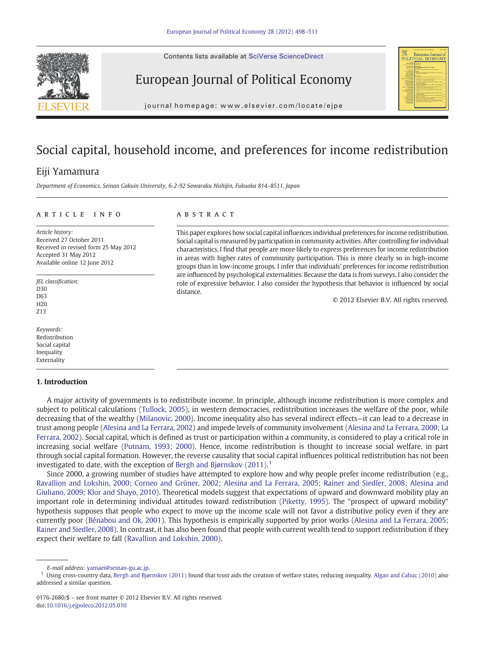Contents lists available at SciVerse ScienceDirect





journal homepage: www.elsevier.com/locate/ejpeer.com/locate/ejpeer.com/locate/ejpeer.com/locate/ejpeer.com/locate/ejpeer.com/locate/ejpeer.com/locate/ejpeer.com/locate/ejpeer.com/locate/ejpeer.com/locate/ejpeer.com/locate

## Social capital, household income, and preferences for income redistribution

### Eiji Yamamura

Department of Economics, Seinan Gakuin University, 6-2-92 Sawaraku Nishijin, Fukuoka 814–8511, Japan

#### article info abstract

Article history: Received 27 October 2011 Received in revised form 25 May 2012 Accepted 31 May 2012 Available online 12 June 2012

JEL classification: D30 D63  $H20$ Z13

Keywords: Redistribution Social capital Inequality Externality

### 1. Introduction

This paper explores how social capital influences individual preferences for income redistribution. Social capital is measured by participation in community activities. After controlling for individual characteristics, I find that people are more likely to express preferences for income redistribution in areas with higher rates of community participation. This is more clearly so in high-income groups than in low-income groups. I infer that individuals' preferences for income redistribution are influenced by psychological externalities. Because the data is from surveys, I also consider the role of expressive behavior. I also consider the hypothesis that behavior is influenced by social distance.

© 2012 Elsevier B.V. All rights reserved.

A major activity of governments is to redistribute income. In principle, although income redistribution is more complex and subject to political calculations [\(Tullock, 2005](#page--1-0)), in western democracies, redistribution increases the welfare of the poor, while decreasing that of the wealthy ([Milanovic, 2000\)](#page--1-0). Income inequality also has several indirect effects—it can lead to a decrease in trust among people ([Alesina and La Ferrara, 2002\)](#page--1-0) and impede levels of community involvement ([Alesina and La Ferrara, 2000; La](#page--1-0) [Ferrara, 2002](#page--1-0)). Social capital, which is defined as trust or participation within a community, is considered to play a critical role in increasing social welfare ([Putnam, 1993; 2000](#page--1-0)). Hence, income redistribution is thought to increase social welfare, in part through social capital formation. However, the reverse causality that social capital influences political redistribution has not been investigated to date, with the exception of Bergh and Bjørnskov  $(2011).$ <sup>1</sup>

Since 2000, a growing number of studies have attempted to explore how and why people prefer income redistribution (e.g., [Ravallion and Lokshin, 2000; Corneo and Grüner, 2002; Alesina and La Ferrara, 2005; Rainer and Siedler, 2008; Alesina and](#page--1-0) [Giuliano, 2009; Klor and Shayo, 2010\)](#page--1-0). Theoretical models suggest that expectations of upward and downward mobility play an important role in determining individual attitudes toward redistribution [\(Piketty, 1995](#page--1-0)). The "prospect of upward mobility" hypothesis supposes that people who expect to move up the income scale will not favor a distributive policy even if they are currently poor ([Bénabou and Ok, 2001\)](#page--1-0). This hypothesis is empirically supported by prior works ([Alesina and La Ferrara, 2005;](#page--1-0) [Rainer and Siedler, 2008\)](#page--1-0). In contrast, it has also been found that people with current wealth tend to support redistribution if they expect their welfare to fall ([Ravallion and Lokshin, 2000](#page--1-0)).

E-mail address: [yamaei@seinan-gu.ac.jp](mailto:yamaei@seinan-gu.ac.jp).

<sup>&</sup>lt;sup>1</sup> Using cross-country data, [Bergh and Bjørnskov \(2011\)](#page--1-0) found that trust aids the creation of welfare states, reducing inequality. [Algan and Cahuc \(2010\)](#page--1-0) also addressed a similar question.

<sup>0176-2680/\$</sup> – see front matter © 2012 Elsevier B.V. All rights reserved. doi:[10.1016/j.ejpoleco.2012.05.010](http://dx.doi.org/10.1016/j.ejpoleco.2012.05.010)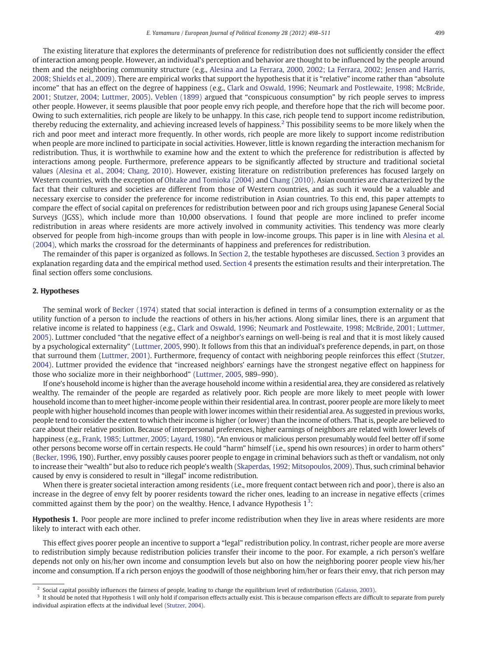The existing literature that explores the determinants of preference for redistribution does not sufficiently consider the effect of interaction among people. However, an individual's perception and behavior are thought to be influenced by the people around them and the neighboring community structure (e.g., [Alesina and La Ferrara, 2000, 2002; La Ferrara, 2002; Jensen and Harris,](#page--1-0) [2008; Shields et al., 2009](#page--1-0)). There are empirical works that support the hypothesis that it is "relative" income rather than "absolute income" that has an effect on the degree of happiness (e.g., [Clark and Oswald, 1996; Neumark and Postlewaite, 1998; McBride,](#page--1-0) [2001; Stutzer, 2004; Luttmer, 2005](#page--1-0)). [Veblen \(1899\)](#page--1-0) argued that "conspicuous consumption" by rich people serves to impress other people. However, it seems plausible that poor people envy rich people, and therefore hope that the rich will become poor. Owing to such externalities, rich people are likely to be unhappy. In this case, rich people tend to support income redistribution, thereby reducing the externality, and achieving increased levels of happiness.<sup>2</sup> This possibility seems to be more likely when the rich and poor meet and interact more frequently. In other words, rich people are more likely to support income redistribution when people are more inclined to participate in social activities. However, little is known regarding the interaction mechanism for redistribution. Thus, it is worthwhile to examine how and the extent to which the preference for redistribution is affected by interactions among people. Furthermore, preference appears to be significantly affected by structure and traditional societal values ([Alesina et al., 2004; Chang, 2010\)](#page--1-0). However, existing literature on redistribution preferences has focused largely on Western countries, with the exception of [Ohtake and Tomioka \(2004\)](#page--1-0) and [Chang \(2010\)](#page--1-0). Asian countries are characterized by the fact that their cultures and societies are different from those of Western countries, and as such it would be a valuable and necessary exercise to consider the preference for income redistribution in Asian countries. To this end, this paper attempts to compare the effect of social capital on preferences for redistribution between poor and rich groups using Japanese General Social Surveys (JGSS), which include more than 10,000 observations. I found that people are more inclined to prefer income redistribution in areas where residents are more actively involved in community activities. This tendency was more clearly observed for people from high-income groups than with people in low-income groups. This paper is in line with [Alesina et al.](#page--1-0) [\(2004\)](#page--1-0), which marks the crossroad for the determinants of happiness and preferences for redistribution.

The remainder of this paper is organized as follows. In Section 2, the testable hypotheses are discussed. [Section 3](#page--1-0) provides an explanation regarding data and the empirical method used. [Section 4](#page--1-0) presents the estimation results and their interpretation. The final section offers some conclusions.

### 2. Hypotheses

The seminal work of [Becker \(1974\)](#page--1-0) stated that social interaction is defined in terms of a consumption externality or as the utility function of a person to include the reactions of others in his/her actions. Along similar lines, there is an argument that relative income is related to happiness (e.g., [Clark and Oswald, 1996; Neumark and Postlewaite, 1998; McBride, 2001; Luttmer,](#page--1-0) [2005](#page--1-0)). Luttmer concluded "that the negative effect of a neighbor's earnings on well-being is real and that it is most likely caused by a psychological externality" ([Luttmer, 2005,](#page--1-0) 990). It follows from this that an individual's preference depends, in part, on those that surround them ([Luttmer, 2001\)](#page--1-0). Furthermore, frequency of contact with neighboring people reinforces this effect [\(Stutzer,](#page--1-0) [2004](#page--1-0)). Luttmer provided the evidence that "increased neighbors' earnings have the strongest negative effect on happiness for those who socialize more in their neighborhood" ([Luttmer, 2005](#page--1-0), 989–990).

If one's household income is higher than the average household income within a residential area, they are considered as relatively wealthy. The remainder of the people are regarded as relatively poor. Rich people are more likely to meet people with lower household income than to meet higher-income people within their residential area. In contrast, poorer people are more likely to meet people with higher household incomes than people with lower incomes within their residential area. As suggested in previous works, people tend to consider the extent to which their income is higher (or lower) than the income of others. That is, people are believed to care about their relative position. Because of interpersonal preferences, higher earnings of neighbors are related with lower levels of happiness (e.g., [Frank, 1985; Luttmer, 2005; Layard, 1980](#page--1-0)). "An envious or malicious person presumably would feel better off if some other persons become worse off in certain respects. He could "harm" himself (i.e., spend his own resources) in order to harm others" [\(Becker, 1996,](#page--1-0) 190). Further, envy possibly causes poorer people to engage in criminal behaviors such as theft or vandalism, not only to increase their "wealth" but also to reduce rich people's wealth [\(Skaperdas, 1992; Mitsopoulos, 2009](#page--1-0)). Thus, such criminal behavior caused by envy is considered to result in "illegal" income redistribution.

When there is greater societal interaction among residents (i.e., more frequent contact between rich and poor), there is also an increase in the degree of envy felt by poorer residents toward the richer ones, leading to an increase in negative effects (crimes committed against them by the poor) on the wealthy. Hence, I advance Hypothesis  $1^3$ :

Hypothesis 1. Poor people are more inclined to prefer income redistribution when they live in areas where residents are more likely to interact with each other.

This effect gives poorer people an incentive to support a "legal" redistribution policy. In contrast, richer people are more averse to redistribution simply because redistribution policies transfer their income to the poor. For example, a rich person's welfare depends not only on his/her own income and consumption levels but also on how the neighboring poorer people view his/her income and consumption. If a rich person enjoys the goodwill of those neighboring him/her or fears their envy, that rich person may

<sup>&</sup>lt;sup>2</sup> Social capital possibly influences the fairness of people, leading to change the equilibrium level of redistribution ([Galasso, 2003\)](#page--1-0).

<sup>&</sup>lt;sup>3</sup> It should be noted that Hypothesis 1 will only hold if comparison effects actually exist. This is because comparison effects are difficult to separate from purely individual aspiration effects at the individual level ([Stutzer, 2004\)](#page--1-0).